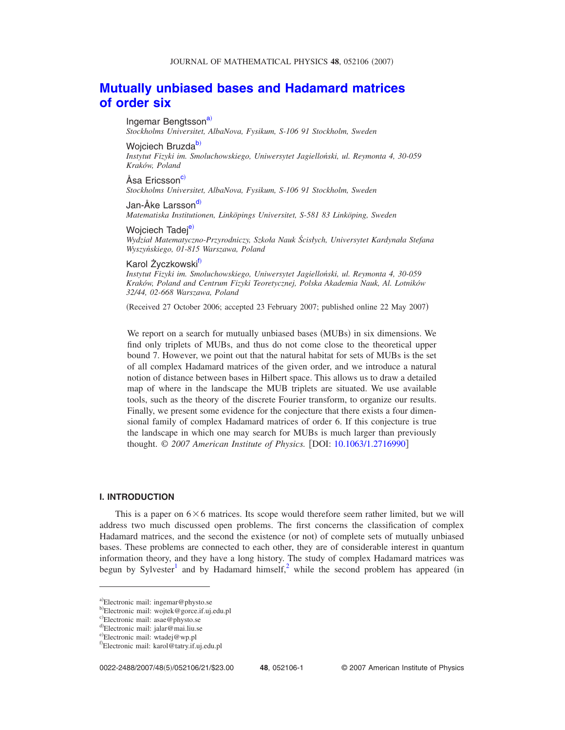# **[Mutually unbiased bases and Hadamard matrices](http://dx.doi.org/10.1063/1.2716990) [of order six](http://dx.doi.org/10.1063/1.2716990)**

Ingemar Bengtsson<sup>a)</sup> *Stockholms Universitet, AlbaNova, Fysikum, S-106 91 Stockholm, Sweden*

Wojciech Bruzda<sup>b)</sup> *Instytut Fizyki im. Smoluchowskiego, Uniwersytet Jagielloński, ul. Reymonta 4, 30-059 Kraków, Poland*

Åsa Ericsson<sup>c)</sup> *Stockholms Universitet, AlbaNova, Fysikum, S-106 91 Stockholm, Sweden*

Jan-Åke Larsson<sup>d)</sup> *Matematiska Institutionen, Linköpings Universitet, S-581 83 Linköping, Sweden*

Woiciech Tadei<sup>e)</sup> *Wydział Matematyczno-Przyrodniczy, Szkoła Nauk Ścisłych, Universytet Kardynała Stefana Wyszyńskiego, 01-815 Warszawa, Poland*

### Karol Życzkowski<sup>t)</sup>

*Instytut Fizyki im. Smoluchowskiego, Uniwersytet Jagielloński, ul. Reymonta 4, 30-059 Kraków, Poland and Centrum Fizyki Teoretycznej, Polska Akademia Nauk, Al. Lotników 32/44, 02-668 Warszawa, Poland*

Received 27 October 2006; accepted 23 February 2007; published online 22 May 2007-

We report on a search for mutually unbiased bases (MUBs) in six dimensions. We find only triplets of MUBs, and thus do not come close to the theoretical upper bound 7. However, we point out that the natural habitat for sets of MUBs is the set of all complex Hadamard matrices of the given order, and we introduce a natural notion of distance between bases in Hilbert space. This allows us to draw a detailed map of where in the landscape the MUB triplets are situated. We use available tools, such as the theory of the discrete Fourier transform, to organize our results. Finally, we present some evidence for the conjecture that there exists a four dimensional family of complex Hadamard matrices of order 6. If this conjecture is true the landscape in which one may search for MUBs is much larger than previously thought. © 2007 American Institute of Physics. [DOI: [10.1063/1.2716990](http://dx.doi.org/10.1063/1.2716990)]

## **I. INTRODUCTION**

This is a paper on  $6 \times 6$  matrices. Its scope would therefore seem rather limited, but we will address two much discussed open problems. The first concerns the classification of complex Hadamard matrices, and the second the existence (or not) of complete sets of mutually unbiased bases. These problems are connected to each other, they are of considerable interest in quantum information theory, and they have a long history. The study of complex Hadamard matrices was begun by Sylvester<sup>1</sup> and by Hadamard himself,<sup>2</sup> while the second problem has appeared (in

<span id="page-0-0"></span>a)Electronic mail: ingemar@physto.se

<span id="page-0-1"></span><sup>&</sup>lt;sup>b)</sup>Electronic mail: wojtek@gorce.if.uj.edu.pl

<span id="page-0-2"></span>c)Electronic mail: asae@physto.se

<span id="page-0-4"></span><span id="page-0-3"></span><sup>&</sup>lt;sup>d)</sup>Electronic mail: jalar@mai.liu.se e)Electronic mail: wtadej@wp.pl

<span id="page-0-5"></span>f)Electronic mail: karol@tatry.if.uj.edu.pl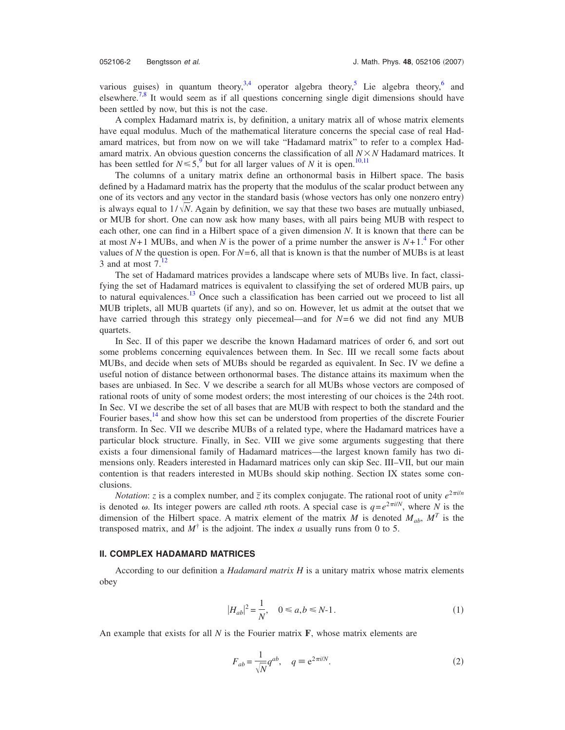various guises) in quantum theory,  $3,4$  $3,4$  operator algebra theory, Lie algebra theory, and elsewhere.<sup>7,[8](#page-19-7)</sup> It would seem as if all questions concerning single digit dimensions should have been settled by now, but this is not the case.

A complex Hadamard matrix is, by definition, a unitary matrix all of whose matrix elements have equal modulus. Much of the mathematical literature concerns the special case of real Hadamard matrices, but from now on we will take "Hadamard matrix" to refer to a complex Hadamard matrix. An obvious question concerns the classification of all *NN* Hadamard matrices. It has been settled for  $N \leq 5$ , <sup>[9](#page-19-8)</sup> but for all larger values of *N* it is open.<sup>10,[11](#page-20-1)</sup>

The columns of a unitary matrix define an orthonormal basis in Hilbert space. The basis defined by a Hadamard matrix has the property that the modulus of the scalar product between any one of its vectors and any vector in the standard basis (whose vectors has only one nonzero entry) is always equal to  $1/\sqrt{N}$ . Again by definition, we say that these two bases are mutually unbiased, or MUB for short. One can now ask how many bases, with all pairs being MUB with respect to each other, one can find in a Hilbert space of a given dimension *N*. It is known that there can be at most  $N+1$  MUBs, and when N is the power of a prime number the answer is  $N+1<sup>4</sup>$  For other values of N the question is open. For  $N=6$ , all that is known is that the number of MUBs is at least 3 and at most  $7<sup>12</sup>$  $7<sup>12</sup>$  $7<sup>12</sup>$ 

The set of Hadamard matrices provides a landscape where sets of MUBs live. In fact, classifying the set of Hadamard matrices is equivalent to classifying the set of ordered MUB pairs, up to natural equivalences.<sup>13</sup> Once such a classification has been carried out we proceed to list all MUB triplets, all MUB quartets (if any), and so on. However, let us admit at the outset that we have carried through this strategy only piecemeal—and for *N*=6 we did not find any MUB quartets.

In Sec. II of this paper we describe the known Hadamard matrices of order 6, and sort out some problems concerning equivalences between them. In Sec. III we recall some facts about MUBs, and decide when sets of MUBs should be regarded as equivalent. In Sec. IV we define a useful notion of distance between orthonormal bases. The distance attains its maximum when the bases are unbiased. In Sec. V we describe a search for all MUBs whose vectors are composed of rational roots of unity of some modest orders; the most interesting of our choices is the 24th root. In Sec. VI we describe the set of all bases that are MUB with respect to both the standard and the Fourier bases,<sup>14</sup> and show how this set can be understood from properties of the discrete Fourier transform. In Sec. VII we describe MUBs of a related type, where the Hadamard matrices have a particular block structure. Finally, in Sec. VIII we give some arguments suggesting that there exists a four dimensional family of Hadamard matrices—the largest known family has two dimensions only. Readers interested in Hadamard matrices only can skip Sec. III–VII, but our main contention is that readers interested in MUBs should skip nothing. Section IX states some conclusions.

*Notation*: *z* is a complex number, and  $\overline{z}$  its complex conjugate. The rational root of unity  $e^{2\pi i/n}$ is denoted  $\omega$ . Its integer powers are called *n*th roots. A special case is  $q=e^{2\pi i/N}$ , where *N* is the dimension of the Hilbert space. A matrix element of the matrix *M* is denoted  $M_{ab}$ ,  $M^T$  is the transposed matrix, and  $M^{\dagger}$  is the adjoint. The index *a* usually runs from 0 to 5.

### **II. COMPLEX HADAMARD MATRICES**

According to our definition a *Hadamard matrix H* is a unitary matrix whose matrix elements obey

$$
|H_{ab}|^2 = \frac{1}{N}, \quad 0 \le a, b \le N-1.
$$
 (1)

An example that exists for all *N* is the Fourier matrix **F**, whose matrix elements are

$$
F_{ab} = \frac{1}{\sqrt{N}} q^{ab}, \quad q \equiv e^{2\pi i/N}.
$$
 (2)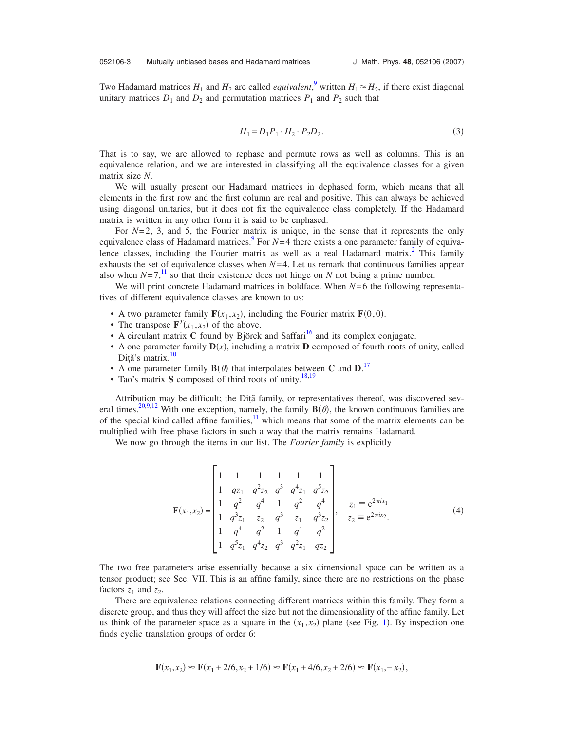Two Hadamard matrices  $H_1$  and  $H_2$  are called *equivalent*,<sup>[9](#page-19-8)</sup> written  $H_1 \approx H_2$ , if there exist diagonal unitary matrices  $D_1$  and  $D_2$  and permutation matrices  $P_1$  and  $P_2$  such that

$$
H_1 = D_1 P_1 \cdot H_2 \cdot P_2 D_2. \tag{3}
$$

<span id="page-2-0"></span>That is to say, we are allowed to rephase and permute rows as well as columns. This is an equivalence relation, and we are interested in classifying all the equivalence classes for a given matrix size *N*.

We will usually present our Hadamard matrices in dephased form, which means that all elements in the first row and the first column are real and positive. This can always be achieved using diagonal unitaries, but it does not fix the equivalence class completely. If the Hadamard matrix is written in any other form it is said to be enphased.

For  $N=2$ , 3, and 5, the Fourier matrix is unique, in the sense that it represents the only equivalence class of Hadamard matrices.<sup>9</sup> For  $N=4$  there exists a one parameter family of equivalence classes, including the Fourier matrix as well as a real Hadamard matrix.<sup>2</sup> This family exhausts the set of equivalence classes when  $N=4$ . Let us remark that continuous families appear also when  $N=7$ ,<sup>[11](#page-20-1)</sup> so that their existence does not hinge on *N* not being a prime number.

We will print concrete Hadamard matrices in boldface. When  $N=6$  the following representatives of different equivalence classes are known to us:

- A two parameter family  $\mathbf{F}(x_1, x_2)$ , including the Fourier matrix  $\mathbf{F}(0,0)$ .
- The transpose  $\mathbf{F}^T(x_1, x_2)$  of the above.
- A circulant matrix **C** found by Björck and Saffari<sup>16</sup> and its complex conjugate.
- A one parameter family  $D(x)$ , including a matrix D composed of fourth roots of unity, called Dită's matrix.<sup>10</sup>
- A one parameter family  $\mathbf{B}(\theta)$  that interpolates between **C** and  $\mathbf{D}$ .<sup>[17](#page-20-6)</sup>
- Tao's matrix **S** composed of third roots of unity.<sup>18[,19](#page-20-8)</sup>

Attribution may be difficult; the Diţă family, or representatives thereof, was discovered sev-eral times.<sup>20[,9](#page-19-8)[,12](#page-20-2)</sup> With one exception, namely, the family  $\mathbf{B}(\theta)$ , the known continuous families are of the special kind called affine families, $\frac{11}{11}$  which means that some of the matrix elements can be multiplied with free phase factors in such a way that the matrix remains Hadamard.

<span id="page-2-1"></span>We now go through the items in our list. The *Fourier family* is explicitly

$$
\mathbf{F}(x_1, x_2) = \begin{bmatrix} 1 & 1 & 1 & 1 & 1 \\ 1 & qz_1 & q^2z_2 & q^3 & q^4z_1 & q^5z_2 \\ 1 & q^2 & q^4 & 1 & q^2 & q^4 \\ 1 & q^3z_1 & z_2 & q^3 & z_1 & q^3z_2 \\ 1 & q^4 & q^2 & 1 & q^4 & q^2 \\ 1 & q^5z_1 & q^4z_2 & q^3 & q^2z_1 & qz_2 \end{bmatrix}, \quad z_1 = e^{2\pi i x_1}
$$
(4)

The two free parameters arise essentially because a six dimensional space can be written as a tensor product; see Sec. VII. This is an affine family, since there are no restrictions on the phase factors  $z_1$  and  $z_2$ .

There are equivalence relations connecting different matrices within this family. They form a discrete group, and thus they will affect the size but not the dimensionality of the affine family. Let us think of the parameter space as a square in the  $(x_1, x_2)$  $(x_1, x_2)$  $(x_1, x_2)$  plane (see Fig. 1). By inspection one finds cyclic translation groups of order 6:

$$
\mathbf{F}(x_1, x_2) \approx \mathbf{F}(x_1 + 2/6, x_2 + 1/6) \approx \mathbf{F}(x_1 + 4/6, x_2 + 2/6) \approx \mathbf{F}(x_1, -x_2),
$$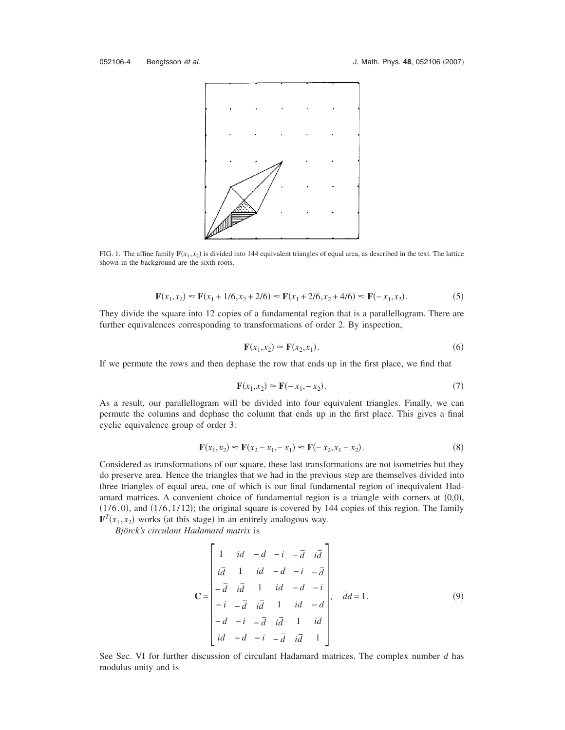<span id="page-3-0"></span>

FIG. 1. The affine family  $\mathbf{F}(x_1, x_2)$  is divided into 144 equivalent triangles of equal area, as described in the text. The lattice shown in the background are the sixth roots.

$$
\mathbf{F}(x_1, x_2) \approx \mathbf{F}(x_1 + 1/6, x_2 + 2/6) \approx \mathbf{F}(x_1 + 2/6, x_2 + 4/6) \approx \mathbf{F}(-x_1, x_2). \tag{5}
$$

They divide the square into 12 copies of a fundamental region that is a parallellogram. There are further equivalences corresponding to transformations of order 2. By inspection,

$$
\mathbf{F}(x_1, x_2) \approx \mathbf{F}(x_2, x_1). \tag{6}
$$

If we permute the rows and then dephase the row that ends up in the first place, we find that

$$
\mathbf{F}(x_1, x_2) \approx \mathbf{F}(-x_1, -x_2). \tag{7}
$$

As a result, our parallellogram will be divided into four equivalent triangles. Finally, we can permute the columns and dephase the column that ends up in the first place. This gives a final cyclic equivalence group of order 3:

$$
\mathbf{F}(x_1, x_2) \approx \mathbf{F}(x_2 - x_1, -x_1) \approx \mathbf{F}(-x_2, x_1 - x_2).
$$
 (8)

Considered as transformations of our square, these last transformations are not isometries but they do preserve area. Hence the triangles that we had in the previous step are themselves divided into three triangles of equal area, one of which is our final fundamental region of inequivalent Hadamard matrices. A convenient choice of fundamental region is a triangle with corners at  $(0,0)$ ,  $(1/6,0)$ , and  $(1/6,1/12)$ ; the original square is covered by 144 copies of this region. The family  $\mathbf{F}^{T}(x_1, x_2)$  works (at this stage) in an entirely analogous way.

*Björck's circulant Hadamard matrix* is

$$
\mathbf{C} = \begin{bmatrix} 1 & id & -d & -i & -\overline{d} & i\overline{d} \\ i\overline{d} & 1 & id & -d & -i & -\overline{d} \\ -\overline{d} & i\overline{d} & 1 & id & -d & -i \\ -i & -\overline{d} & i\overline{d} & 1 & id & -d \\ -d & -i & -\overline{d} & i\overline{d} & 1 & id \\ id & -d & -i & -\overline{d} & i\overline{d} & 1 \end{bmatrix}, \quad \overline{d}d = 1.
$$
 (9)

See Sec. VI for further discussion of circulant Hadamard matrices. The complex number *d* has modulus unity and is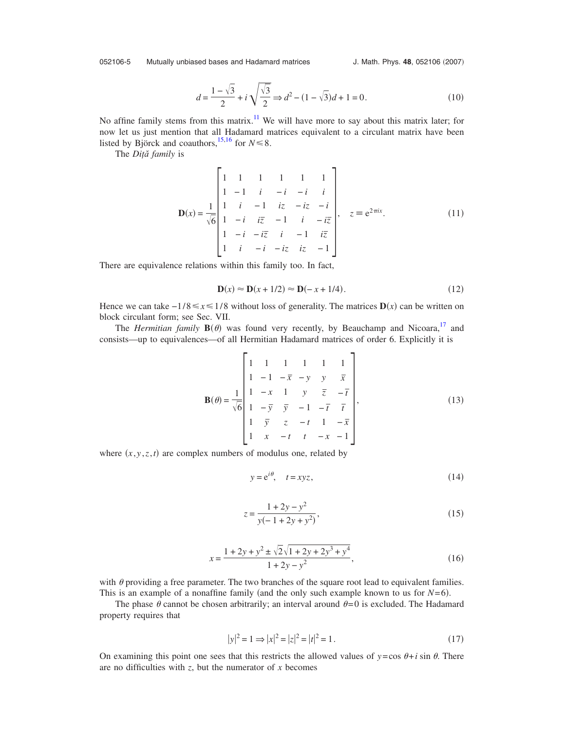<span id="page-4-0"></span>052106-5 Mutually unbiased bases and Hadamard matrices

$$
d = \frac{1 - \sqrt{3}}{2} + i\sqrt{\frac{\sqrt{3}}{2}} \Rightarrow d^2 - (1 - \sqrt{3})d + 1 = 0.
$$
 (10)

No affine family stems from this matrix.<sup>11</sup> We will have more to say about this matrix later; for now let us just mention that all Hadamard matrices equivalent to a circulant matrix have been listed by Björck and coauthors, <sup>15[,16](#page-20-5)</sup> for  $N \le 8$ .

<span id="page-4-1"></span>The *Diţă family* is

$$
\mathbf{D}(x) = \frac{1}{\sqrt{6}} \begin{bmatrix} 1 & 1 & 1 & 1 & 1 & 1 \\ 1 & -1 & i & -i & -i & i \\ 1 & i & -1 & iz & -iz & -i \\ 1 & -i & i\overline{z} & -1 & i & -i\overline{z} \\ 1 & -i & -i\overline{z} & i & -1 & i\overline{z} \\ 1 & i & -i & -i\overline{z} & iz & -1 \end{bmatrix}, \quad z \equiv e^{2\pi ix}.
$$
 (11)

There are equivalence relations within this family too. In fact,

$$
\mathbf{D}(x) \approx \mathbf{D}(x+1/2) \approx \mathbf{D}(-x+1/4). \tag{12}
$$

Hence we can take  $-1/8 \le x \le 1/8$  without loss of generality. The matrices  $D(x)$  can be written on block circulant form; see Sec. VII.

The *Hermitian family*  $B(\theta)$  was found very recently, by Beauchamp and Nicoara,<sup>17</sup> and consists—up to equivalences—of all Hermitian Hadamard matrices of order 6. Explicitly it is

$$
\mathbf{B}(\theta) = \frac{1}{\sqrt{6}} \begin{bmatrix} 1 & 1 & 1 & 1 & 1 & 1 \\ 1 & -1 & -\overline{x} & -y & y & \overline{x} \\ 1 & -x & 1 & y & \overline{z} & -\overline{t} \\ 1 & -\overline{y} & \overline{y} & -1 & -\overline{t} & \overline{t} \\ 1 & \overline{y} & z & -t & 1 & -\overline{x} \\ 1 & x & -t & t & -x & -1 \end{bmatrix},
$$
(13)

where  $(x, y, z, t)$  are complex numbers of modulus one, related by

$$
y = e^{i\theta}, \quad t = xyz,\tag{14}
$$

$$
z = \frac{1 + 2y - y^2}{y(-1 + 2y + y^2)},
$$
\n(15)

$$
x = \frac{1 + 2y + y^2 \pm \sqrt{2}\sqrt{1 + 2y + 2y^3 + y^4}}{1 + 2y - y^2},
$$
\n(16)

with  $\theta$  providing a free parameter. The two branches of the square root lead to equivalent families. This is an example of a nonaffine family (and the only such example known to us for  $N=6$ ).

The phase  $\theta$  cannot be chosen arbitrarily; an interval around  $\theta = 0$  is excluded. The Hadamard property requires that

$$
|y|^2 = 1 \Rightarrow |x|^2 = |z|^2 = |t|^2 = 1.
$$
 (17)

On examining this point one sees that this restricts the allowed values of  $y = \cos \theta + i \sin \theta$ . There are no difficulties with *z*, but the numerator of *x* becomes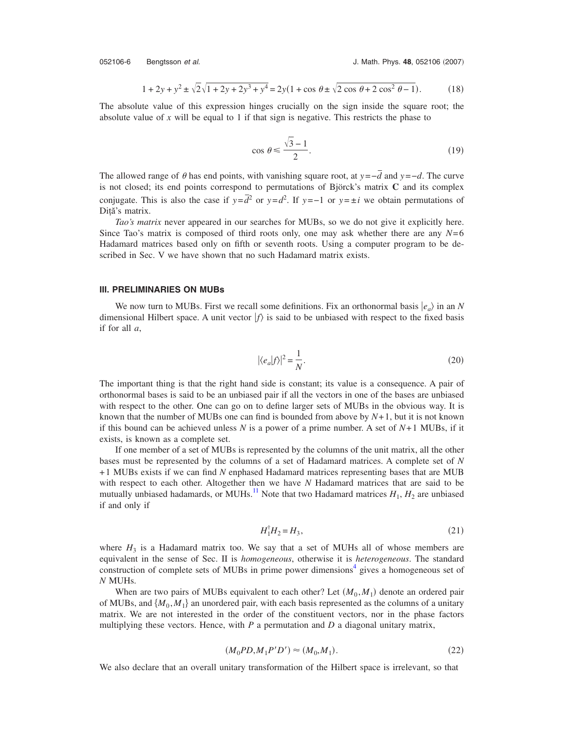$$
1 + 2y + y^2 \pm \sqrt{2}\sqrt{1 + 2y + 2y^3 + y^4} = 2y(1 + \cos\theta \pm \sqrt{2\cos\theta + 2\cos^2\theta - 1}).
$$
 (18)

The absolute value of this expression hinges crucially on the sign inside the square root; the absolute value of *x* will be equal to 1 if that sign is negative. This restricts the phase to

$$
\cos \theta \le \frac{\sqrt{3} - 1}{2}.\tag{19}
$$

The allowed range of  $\theta$  has end points, with vanishing square root, at *y*=−*d* and *y*=−*d*. The curve is not closed; its end points correspond to permutations of Björck's matrix **C** and its complex conjugate. This is also the case if  $y = \overline{d}^2$  or  $y = d^2$ . If  $y = -1$  or  $y = \pm i$  we obtain permutations of Diţă's matrix.

*Tao's matrix* never appeared in our searches for MUBs, so we do not give it explicitly here. Since Tao's matrix is composed of third roots only, one may ask whether there are any *N*= 6 Hadamard matrices based only on fifth or seventh roots. Using a computer program to be described in Sec. V we have shown that no such Hadamard matrix exists.

### **III. PRELIMINARIES ON MUBs**

We now turn to MUBs. First we recall some definitions. Fix an orthonormal basis  $|e_a\rangle$  in an *N* dimensional Hilbert space. A unit vector  $|f\rangle$  is said to be unbiased with respect to the fixed basis if for all *a*,

$$
|\langle e_a|f\rangle|^2 = \frac{1}{N}.\tag{20}
$$

The important thing is that the right hand side is constant; its value is a consequence. A pair of orthonormal bases is said to be an unbiased pair if all the vectors in one of the bases are unbiased with respect to the other. One can go on to define larger sets of MUBs in the obvious way. It is known that the number of MUBs one can find is bounded from above by  $N+1$ , but it is not known if this bound can be achieved unless  $N$  is a power of a prime number. A set of  $N+1$  MUBs, if it exists, is known as a complete set.

If one member of a set of MUBs is represented by the columns of the unit matrix, all the other bases must be represented by the columns of a set of Hadamard matrices. A complete set of *N* + 1 MUBs exists if we can find *N* enphased Hadamard matrices representing bases that are MUB with respect to each other. Altogether then we have *N* Hadamard matrices that are said to be mutually unbiased hadamards, or MUHs.<sup>11</sup> Note that two Hadamard matrices  $H_1$ ,  $H_2$  are unbiased if and only if

$$
H_1^\dagger H_2 = H_3,\tag{21}
$$

where  $H_3$  is a Hadamard matrix too. We say that a set of MUHs all of whose members are equivalent in the sense of Sec. II is *homogeneous*, otherwise it is *heterogeneous*. The standard construction of complete sets of MUBs in prime power dimensions $4$  gives a homogeneous set of *N* MUHs.

When are two pairs of MUBs equivalent to each other? Let  $(M_0, M_1)$  denote an ordered pair of MUBs, and  $\{M_0, M_1\}$  an unordered pair, with each basis represented as the columns of a unitary matrix. We are not interested in the order of the constituent vectors, nor in the phase factors multiplying these vectors. Hence, with *P* a permutation and *D* a diagonal unitary matrix,

$$
(M_0 P D, M_1 P' D') \approx (M_0, M_1). \tag{22}
$$

We also declare that an overall unitary transformation of the Hilbert space is irrelevant, so that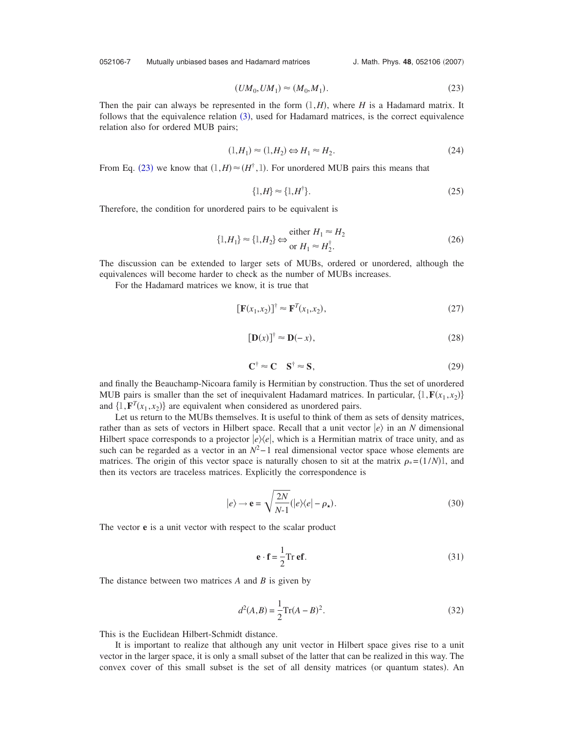052106-7 Mutually unbiased bases and Hadamard matrices

J. Math. Phys. 48, 052106 (2007)

$$
(UM_0, UM_1) \approx (M_0, M_1). \tag{23}
$$

<span id="page-6-0"></span>Then the pair can always be represented in the form  $(1, H)$ , where *H* is a Hadamard matrix. It follows that the equivalence relation  $(3)$  $(3)$  $(3)$ , used for Hadamard matrices, is the correct equivalence relation also for ordered MUB pairs;

$$
(1, H_1) \approx (1, H_2) \Leftrightarrow H_1 \approx H_2. \tag{24}
$$

From Eq. ([23](#page-6-0)) we know that  $(1, H) \approx (H^{\dagger}, 1)$ . For unordered MUB pairs this means that

$$
\{1, H\} \approx \{1, H^{\dagger}\}.
$$
\n<sup>(25)</sup>

Therefore, the condition for unordered pairs to be equivalent is

$$
\{1, H_1\} \approx \{1, H_2\} \Leftrightarrow \begin{aligned} \text{either } H_1 \approx H_2 \\ \text{or } H_1 \approx H_2^{\dagger}. \end{aligned} \tag{26}
$$

The discussion can be extended to larger sets of MUBs, ordered or unordered, although the equivalences will become harder to check as the number of MUBs increases.

<span id="page-6-2"></span>For the Hadamard matrices we know, it is true that

$$
\left[\mathbf{F}(x_1, x_2)\right]^{\dagger} \approx \mathbf{F}^T(x_1, x_2),\tag{27}
$$

$$
[\mathbf{D}(x)]^{\dagger} \approx \mathbf{D}(-x),\tag{28}
$$

$$
\mathbf{C}^{\dagger} \approx \mathbf{C} \quad \mathbf{S}^{\dagger} \approx \mathbf{S},\tag{29}
$$

and finally the Beauchamp-Nicoara family is Hermitian by construction. Thus the set of unordered MUB pairs is smaller than the set of inequivalent Hadamard matrices. In particular,  $\{1, \mathbf{F}(x_1, x_2)\}$ and  $\{1, \mathbf{F}^T(x_1, x_2)\}$  are equivalent when considered as unordered pairs.

Let us return to the MUBs themselves. It is useful to think of them as sets of density matrices, rather than as sets of vectors in Hilbert space. Recall that a unit vector  $|e\rangle$  in an *N* dimensional Hilbert space corresponds to a projector  $|e\rangle\langle e|$ , which is a Hermitian matrix of trace unity, and as such can be regarded as a vector in an  $N^2-1$  real dimensional vector space whose elements are matrices. The origin of this vector space is naturally chosen to sit at the matrix  $\rho_*(1/N)$ , and then its vectors are traceless matrices. Explicitly the correspondence is

$$
|e\rangle \to \mathbf{e} = \sqrt{\frac{2N}{N-1}} (|e\rangle\langle e| - \rho_\star).
$$
 (30)

<span id="page-6-1"></span>The vector **e** is a unit vector with respect to the scalar product

$$
\mathbf{e} \cdot \mathbf{f} = \frac{1}{2} \text{Tr} \, \mathbf{e} \mathbf{f}.
$$
 (31)

The distance between two matrices *A* and *B* is given by

$$
d^{2}(A,B) = \frac{1}{2}\text{Tr}(A-B)^{2}.
$$
 (32)

This is the Euclidean Hilbert-Schmidt distance.

It is important to realize that although any unit vector in Hilbert space gives rise to a unit vector in the larger space, it is only a small subset of the latter that can be realized in this way. The convex cover of this small subset is the set of all density matrices (or quantum states). An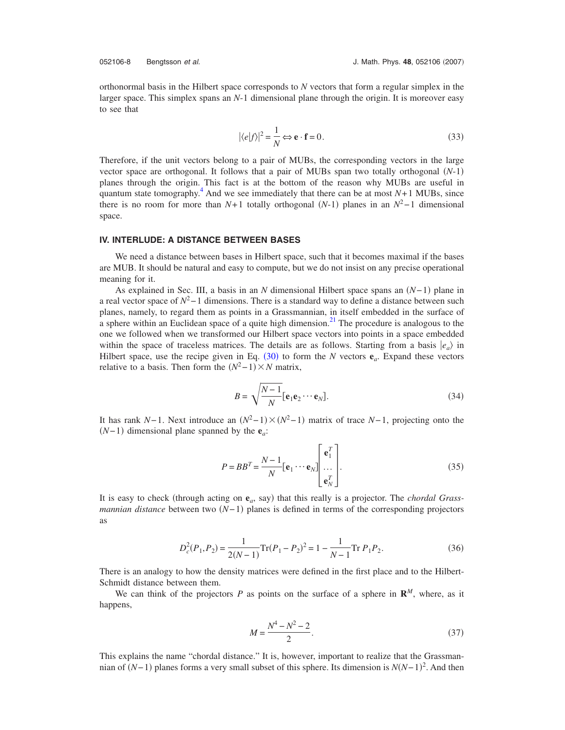orthonormal basis in the Hilbert space corresponds to *N* vectors that form a regular simplex in the larger space. This simplex spans an *N*-1 dimensional plane through the origin. It is moreover easy to see that

$$
|\langle e|f\rangle|^2 = \frac{1}{N} \Leftrightarrow \mathbf{e} \cdot \mathbf{f} = 0.
$$
 (33)

Therefore, if the unit vectors belong to a pair of MUBs, the corresponding vectors in the large vector space are orthogonal. It follows that a pair of MUBs span two totally orthogonal  $(N-1)$ planes through the origin. This fact is at the bottom of the reason why MUBs are useful in quantum state tomography.<sup>4</sup> And we see immediately that there can be at most  $N+1$  MUBs, since there is no room for more than  $N+1$  totally orthogonal  $(N-1)$  planes in an  $N^2-1$  dimensional space.

### **IV. INTERLUDE: A DISTANCE BETWEEN BASES**

We need a distance between bases in Hilbert space, such that it becomes maximal if the bases are MUB. It should be natural and easy to compute, but we do not insist on any precise operational meaning for it.

As explained in Sec. III, a basis in an *N* dimensional Hilbert space spans an  $(N-1)$  plane in a real vector space of *N*2− 1 dimensions. There is a standard way to define a distance between such planes, namely, to regard them as points in a Grassmannian, in itself embedded in the surface of a sphere within an Euclidean space of a quite high dimension.<sup>21</sup> The procedure is analogous to the one we followed when we transformed our Hilbert space vectors into points in a space embedded within the space of traceless matrices. The details are as follows. Starting from a basis  $|e_a\rangle$  in Hilbert space, use the recipe given in Eq.  $(30)$  $(30)$  $(30)$  to form the *N* vectors  $e_a$ . Expand these vectors relative to a basis. Then form the  $(N^2-1) \times N$  matrix,

$$
B = \sqrt{\frac{N-1}{N}} \left[ \mathbf{e}_1 \mathbf{e}_2 \cdots \mathbf{e}_N \right]. \tag{34}
$$

It has rank *N*−1. Next introduce an  $(N^2-1) \times (N^2-1)$  matrix of trace *N*−1, projecting onto the  $(N-1)$  dimensional plane spanned by the  $e_a$ :

$$
P = BB^{T} = \frac{N-1}{N} [\mathbf{e}_{1} \cdots \mathbf{e}_{N}] \begin{bmatrix} \mathbf{e}_{1}^{T} \\ \vdots \\ \mathbf{e}_{N}^{T} \end{bmatrix} .
$$
 (35)

It is easy to check (through acting on  $e_a$ , say) that this really is a projector. The *chordal Grassmannian distance* between two  $(N-1)$  planes is defined in terms of the corresponding projectors as

$$
D_c^2(P_1, P_2) = \frac{1}{2(N-1)} \text{Tr}(P_1 - P_2)^2 = 1 - \frac{1}{N-1} \text{Tr} \, P_1 P_2. \tag{36}
$$

There is an analogy to how the density matrices were defined in the first place and to the Hilbert-Schmidt distance between them.

We can think of the projectors *P* as points on the surface of a sphere in  $\mathbb{R}^M$ , where, as it happens,

$$
M = \frac{N^4 - N^2 - 2}{2}.
$$
\n(37)

This explains the name "chordal distance." It is, however, important to realize that the Grassmannian of  $(N-1)$  planes forms a very small subset of this sphere. Its dimension is  $N(N-1)^2$ . And then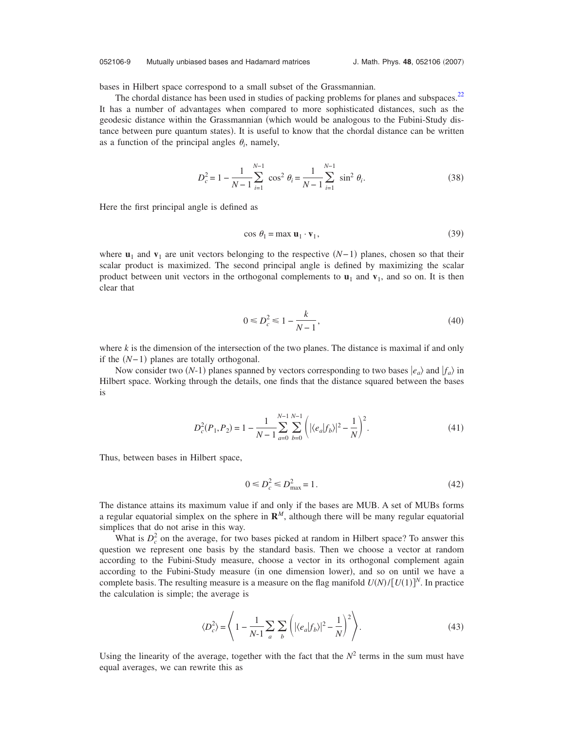### 052106-9 Mutually unbiased bases and Hadamard matrices

bases in Hilbert space correspond to a small subset of the Grassmannian.

The chordal distance has been used in studies of packing problems for planes and subspaces.<sup>22</sup> It has a number of advantages when compared to more sophisticated distances, such as the geodesic distance within the Grassmannian (which would be analogous to the Fubini-Study distance between pure quantum states). It is useful to know that the chordal distance can be written as a function of the principal angles  $\theta_i$ , namely,

$$
D_c^2 = 1 - \frac{1}{N-1} \sum_{i=1}^{N-1} \cos^2 \theta_i = \frac{1}{N-1} \sum_{i=1}^{N-1} \sin^2 \theta_i.
$$
 (38)

Here the first principal angle is defined as

$$
\cos \theta_1 = \max \mathbf{u}_1 \cdot \mathbf{v}_1,\tag{39}
$$

where  $\mathbf{u}_1$  and  $\mathbf{v}_1$  are unit vectors belonging to the respective  $(N-1)$  planes, chosen so that their scalar product is maximized. The second principal angle is defined by maximizing the scalar product between unit vectors in the orthogonal complements to  $\mathbf{u}_1$  and  $\mathbf{v}_1$ , and so on. It is then clear that

$$
0 \le D_c^2 \le 1 - \frac{k}{N - 1},\tag{40}
$$

where *k* is the dimension of the intersection of the two planes. The distance is maximal if and only if the  $(N-1)$  planes are totally orthogonal.

Now consider two  $(N-1)$  planes spanned by vectors corresponding to two bases  $|e_a\rangle$  and  $|f_a\rangle$  in Hilbert space. Working through the details, one finds that the distance squared between the bases is

$$
D_c^2(P_1, P_2) = 1 - \frac{1}{N - 1} \sum_{a=0}^{N-1} \sum_{b=0}^{N-1} \left( |\langle e_a | f_b \rangle|^2 - \frac{1}{N} \right)^2.
$$
 (41)

Thus, between bases in Hilbert space,

$$
0 \le D_c^2 \le D_{\text{max}}^2 = 1. \tag{42}
$$

The distance attains its maximum value if and only if the bases are MUB. A set of MUBs forms a regular equatorial simplex on the sphere in  $\mathbb{R}^M$ , although there will be many regular equatorial simplices that do not arise in this way.

What is  $D_c^2$  on the average, for two bases picked at random in Hilbert space? To answer this question we represent one basis by the standard basis. Then we choose a vector at random according to the Fubini-Study measure, choose a vector in its orthogonal complement again according to the Fubini-Study measure (in one dimension lower), and so on until we have a complete basis. The resulting measure is a measure on the flag manifold  $U(N)/[U(1)]^N$ . In practice the calculation is simple; the average is

$$
\langle D_c^2 \rangle = \left\langle 1 - \frac{1}{N-1} \sum_a \sum_b \left( |\langle e_a | f_b \rangle|^2 - \frac{1}{N} \right)^2 \right\rangle. \tag{43}
$$

Using the linearity of the average, together with the fact that the  $N^2$  terms in the sum must have equal averages, we can rewrite this as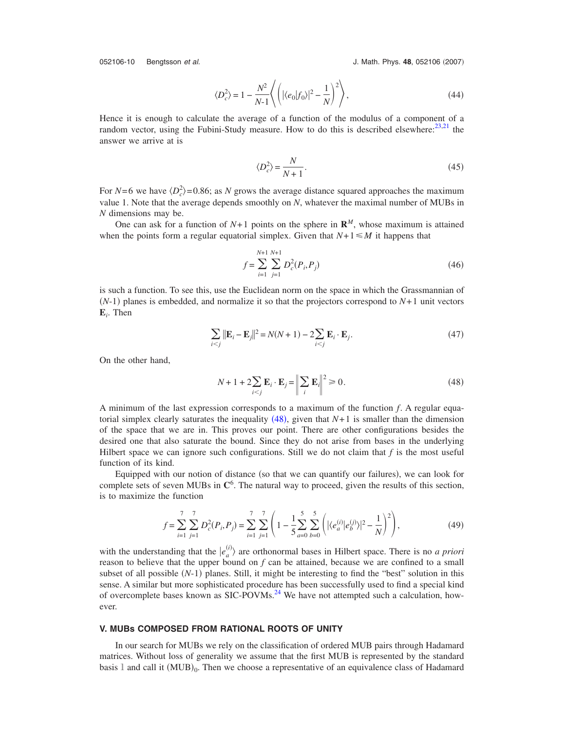052106-10 Bengtsson et al.

J. Math. Phys. 48, 052106 (2007)

$$
\langle D_c^2 \rangle = 1 - \frac{N^2}{N-1} \left\langle \left( |\langle e_0 | f_0 \rangle|^2 - \frac{1}{N} \right)^2 \right\rangle, \tag{44}
$$

Hence it is enough to calculate the average of a function of the modulus of a component of a random vector, using the Fubini-Study measure. How to do this is described elsewhere: $^{23,21}$  $^{23,21}$  $^{23,21}$  the answer we arrive at is

$$
\langle D_c^2 \rangle = \frac{N}{N+1}.\tag{45}
$$

For  $N=6$  we have  $\langle D_c^2 \rangle = 0.86$ ; as *N* grows the average distance squared approaches the maximum value 1. Note that the average depends smoothly on *N*, whatever the maximal number of MUBs in *N* dimensions may be.

One can ask for a function of  $N+1$  points on the sphere in  $\mathbb{R}^M$ , whose maximum is attained when the points form a regular equatorial simplex. Given that  $N+1 \leq M$  it happens that

$$
f = \sum_{i=1}^{N+1} \sum_{j=1}^{N+1} D_c^2(P_i, P_j)
$$
 (46)

is such a function. To see this, use the Euclidean norm on the space in which the Grassmannian of  $(N-1)$  planes is embedded, and normalize it so that the projectors correspond to  $N+1$  unit vectors **E***i* . Then

$$
\sum_{i < j} \|\mathbf{E}_i - \mathbf{E}_j\|^2 = N(N+1) - 2\sum_{i < j} \mathbf{E}_i \cdot \mathbf{E}_j. \tag{47}
$$

<span id="page-9-0"></span>On the other hand,

$$
N + 1 + 2\sum_{i < j} \mathbf{E}_i \cdot \mathbf{E}_j = \left\| \sum_i \mathbf{E}_i \right\|^2 \ge 0. \tag{48}
$$

A minimum of the last expression corresponds to a maximum of the function *f*. A regular equatorial simplex clearly saturates the inequality  $(48)$  $(48)$  $(48)$ , given that  $N+1$  is smaller than the dimension of the space that we are in. This proves our point. There are other configurations besides the desired one that also saturate the bound. Since they do not arise from bases in the underlying Hilbert space we can ignore such configurations. Still we do not claim that *f* is the most useful function of its kind.

Equipped with our notion of distance (so that we can quantify our failures), we can look for complete sets of seven MUBs in **C**<sup>6</sup> . The natural way to proceed, given the results of this section, is to maximize the function

$$
f = \sum_{i=1}^{7} \sum_{j=1}^{7} D_c^2(P_i, P_j) = \sum_{i=1}^{7} \sum_{j=1}^{7} \left( 1 - \frac{1}{5} \sum_{a=0}^{5} \sum_{b=0}^{5} \left( |\langle e_a^{(i)} | e_b^{(j)} \rangle|^2 - \frac{1}{N} \right)^2 \right),\tag{49}
$$

with the understanding that the  $|e_a^{(i)}\rangle$  are orthonormal bases in Hilbert space. There is no *a priori* reason to believe that the upper bound on *f* can be attained, because we are confined to a small subset of all possible  $(N-1)$  planes. Still, it might be interesting to find the "best" solution in this sense. A similar but more sophisticated procedure has been successfully used to find a special kind of overcomplete bases known as SIC-POVMs.<sup>24</sup> We have not attempted such a calculation, however.

# **V. MUBs COMPOSED FROM RATIONAL ROOTS OF UNITY**

In our search for MUBs we rely on the classification of ordered MUB pairs through Hadamard matrices. Without loss of generality we assume that the first MUB is represented by the standard basis 1 and call it  $(MUB)_0$ . Then we choose a representative of an equivalence class of Hadamard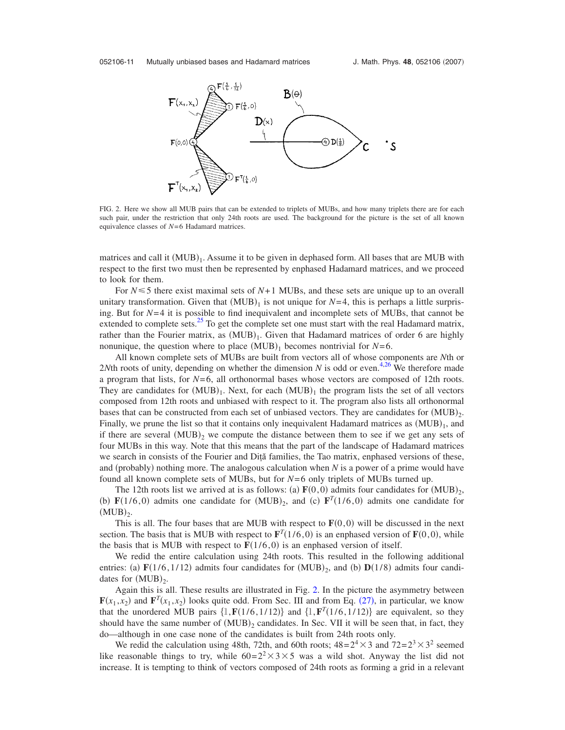<span id="page-10-0"></span>

FIG. 2. Here we show all MUB pairs that can be extended to triplets of MUBs, and how many triplets there are for each such pair, under the restriction that only 24th roots are used. The background for the picture is the set of all known equivalence classes of *N*= 6 Hadamard matrices.

matrices and call it  $(MUB)_1$ . Assume it to be given in dephased form. All bases that are MUB with respect to the first two must then be represented by enphased Hadamard matrices, and we proceed to look for them.

For  $N \leq 5$  there exist maximal sets of  $N+1$  MUBs, and these sets are unique up to an overall unitary transformation. Given that  $(MUB)_1$  is not unique for  $N=4$ , this is perhaps a little surprising. But for *N*= 4 it is possible to find inequivalent and incomplete sets of MUBs, that cannot be extended to complete sets.<sup>25</sup> To get the complete set one must start with the real Hadamard matrix, rather than the Fourier matrix, as  $(MUB)_1$ . Given that Hadamard matrices of order 6 are highly nonunique, the question where to place  $(MUB)_1$  becomes nontrivial for  $N=6$ .

All known complete sets of MUBs are built from vectors all of whose components are *N*th or 2*Nth* roots of unity, depending on whether the dimension  $N$  is odd or even.<sup>4,[26](#page-20-16)</sup> We therefore made a program that lists, for *N*= 6, all orthonormal bases whose vectors are composed of 12th roots. They are candidates for  $(MUB)_1$ . Next, for each  $(MUB)_1$  the program lists the set of all vectors composed from 12th roots and unbiased with respect to it. The program also lists all orthonormal bases that can be constructed from each set of unbiased vectors. They are candidates for  $(MUB)_2$ . Finally, we prune the list so that it contains only inequivalent Hadamard matrices as  $(MUB)_1$ , and if there are several  $(MUB)_2$  we compute the distance between them to see if we get any sets of four MUBs in this way. Note that this means that the part of the landscape of Hadamard matrices we search in consists of the Fourier and Diţă families, the Tao matrix, enphased versions of these, and (probably) nothing more. The analogous calculation when  $N$  is a power of a prime would have found all known complete sets of MUBs, but for *N*= 6 only triplets of MUBs turned up.

The 12th roots list we arrived at is as follows: (a)  $F(0,0)$  admits four candidates for  $(MUB)_2$ , (b)  $\mathbf{F}(1/6,0)$  admits one candidate for  $(MUB)_{2}$ , and (c)  $\mathbf{F}^{T}(1/6,0)$  admits one candidate for  $(MUB)_2$ .

This is all. The four bases that are MUB with respect to  $F(0,0)$  will be discussed in the next section. The basis that is MUB with respect to  $\mathbf{F}^T(1/6,0)$  is an enphased version of  $\mathbf{F}(0,0)$ , while the basis that is MUB with respect to  $F(1/6,0)$  is an enphased version of itself.

We redid the entire calculation using 24th roots. This resulted in the following additional entries: (a)  $\mathbf{F}(1/6, 1/12)$  admits four candidates for  $(MUB)_2$ , and (b)  $\mathbf{D}(1/8)$  admits four candidates for  $(MUB)_2$ .

Again this is all. These results are illustrated in Fig. [2.](#page-10-0) In the picture the asymmetry between  $\mathbf{F}(x_1, x_2)$  and  $\mathbf{F}^T(x_1, x_2)$  looks quite odd. From Sec. III and from Eq. ([27](#page-6-2)), in particular, we know that the unordered MUB pairs  $\{1, \mathbf{F}(1/6, 1/12)\}$  and  $\{1, \mathbf{F}^T(1/6, 1/12)\}$  are equivalent, so they should have the same number of  $(MUB)_2$  candidates. In Sec. VII it will be seen that, in fact, they do—although in one case none of the candidates is built from 24th roots only.

We redid the calculation using 48th, 72th, and 60th roots;  $48=2^4\times3$  and  $72=2^3\times3^2$  seemed like reasonable things to try, while  $60=2^2\times3\times5$  was a wild shot. Anyway the list did not increase. It is tempting to think of vectors composed of 24th roots as forming a grid in a relevant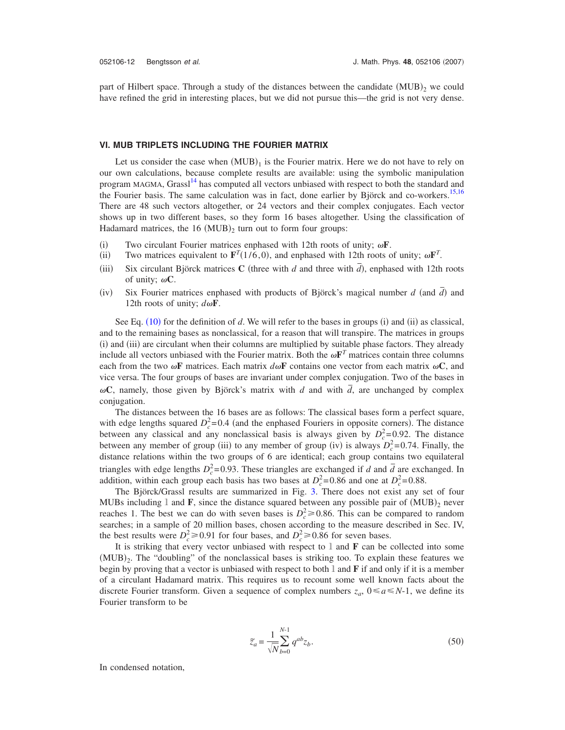part of Hilbert space. Through a study of the distances between the candidate  $(MUB)_2$  we could have refined the grid in interesting places, but we did not pursue this—the grid is not very dense.

### **VI. MUB TRIPLETS INCLUDING THE FOURIER MATRIX**

Let us consider the case when  $(MUB)_1$  is the Fourier matrix. Here we do not have to rely on our own calculations, because complete results are available: using the symbolic manipulation program MAGMA, Grassl<sup>14</sup> has computed all vectors unbiased with respect to both the standard and the Fourier basis. The same calculation was in fact, done earlier by Björck and co-workers.<sup>15[,16](#page-20-5)</sup> There are 48 such vectors altogether, or 24 vectors and their complex conjugates. Each vector shows up in two different bases, so they form 16 bases altogether. Using the classification of Hadamard matrices, the  $16 \text{ (MUB)}_2$  turn out to form four groups:

- $(i)$ Two circulant Fourier matrices enphased with 12th roots of unity;  $\omega$ **F**.
- $(ii)$ Two matrices equivalent to  $\mathbf{F}^T(1/6,0)$ , and enphased with 12th roots of unity;  $\omega \mathbf{F}^T$ .
- $(iii)$ Six circulant Björck matrices **C** (three with *d* and three with  $\overline{d}$ ), enphased with 12th roots of unity;  $\omega C$ .
- $(iv)$ Six Fourier matrices enphased with products of Björck's magical number *d* (and  $\overline{d}$ ) and 12th roots of unity;  $d\omega$ **F**.

See Eq.  $(10)$  $(10)$  $(10)$  for the definition of *d*. We will refer to the bases in groups (i) and (ii) as classical, and to the remaining bases as nonclassical, for a reason that will transpire. The matrices in groups (i) and (iii) are circulant when their columns are multiplied by suitable phase factors. They already include all vectors unbiased with the Fourier matrix. Both the  $\omega \mathbf{F}^T$  matrices contain three columns each from the two  $\omega$ **F** matrices. Each matrix  $d\omega$ **F** contains one vector from each matrix  $\omega$ **C**, and vice versa. The four groups of bases are invariant under complex conjugation. Two of the bases in  $\omega$ C, namely, those given by Björck's matrix with *d* and with  $\overline{d}$ , are unchanged by complex conjugation.

The distances between the 16 bases are as follows: The classical bases form a perfect square, with edge lengths squared  $D_c^2 = 0.4$  (and the enphased Fouriers in opposite corners). The distance between any classical and any nonclassical basis is always given by  $D_c^2 = 0.92$ . The distance between any member of group (iii) to any member of group (iv) is always  $D_c^2 = 0.74$ . Finally, the distance relations within the two groups of 6 are identical; each group contains two equilateral triangles with edge lengths  $D_c^2 = 0.93$ . These triangles are exchanged if *d* and  $\overline{d}$  are exchanged. In addition, within each group each basis has two bases at  $D_c^2 = 0.86$  and one at  $D_c^2 = 0.88$ .

The Björck/Grassl results are summarized in Fig. [3.](#page-12-0) There does not exist any set of four MUBs including  $1$  and  $\mathbf{F}$ , since the distance squared between any possible pair of  $(MUB)_2$  never reaches 1. The best we can do with seven bases is  $D_c^2 \ge 0.86$ . This can be compared to random searches; in a sample of 20 million bases, chosen according to the measure described in Sec. IV, the best results were  $D_c^2 \ge 0.91$  for four bases, and  $D_c^2 \ge 0.86$  for seven bases.

It is striking that every vector unbiased with respect to 1 and **F** can be collected into some  $(MUB)_2$ . The "doubling" of the nonclassical bases is striking too. To explain these features we begin by proving that a vector is unbiased with respect to both 1 and **F** if and only if it is a member of a circulant Hadamard matrix. This requires us to recount some well known facts about the discrete Fourier transform. Given a sequence of complex numbers  $z_a$ ,  $0 \le a \le N-1$ , we define its Fourier transform to be

$$
\widetilde{z}_a = \frac{1}{\sqrt{N}} \sum_{b=0}^{N-1} q^{ab} z_b.
$$
\n(50)

In condensed notation,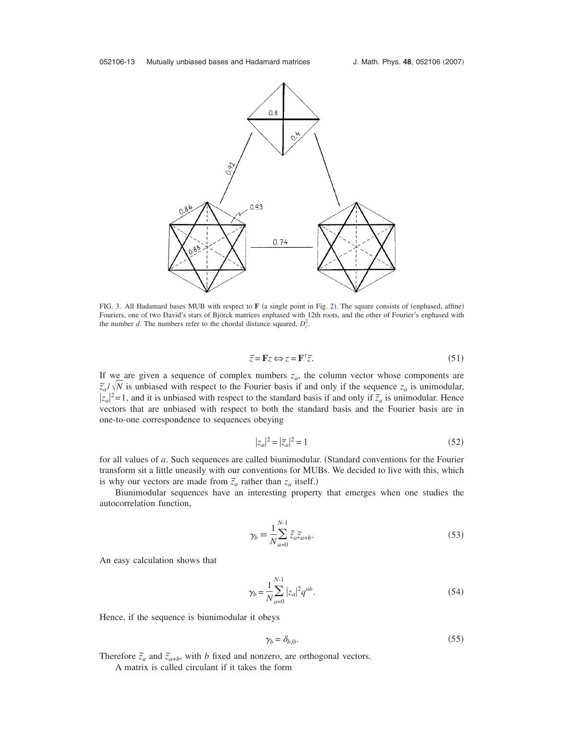<span id="page-12-0"></span>

FIG. 3. All Hadamard bases MUB with respect to  $F$  (a single point in Fig. [2](#page-10-0)). The square consists of (enphased, affine) Fouriers, one of two David's stars of Björck matrices enphased with 12th roots, and the other of Fourier's enphased with the number *d*. The numbers refer to the chordal distance squared,  $D_c^2$ .

$$
\widetilde{z} = \mathbf{F}z \Longleftrightarrow z = \mathbf{F}^{\dagger} \widetilde{z}.\tag{51}
$$

If we are given a sequence of complex numbers  $z_a$ , the column vector whose components are  $\tilde{z}_a/\sqrt{N}$  is unbiased with respect to the Fourier basis if and only if the sequence  $z_a$  is unimodular,  $|z_a|^2 = 1$ , and it is unbiased with respect to the standard basis if and only if  $\tilde{z}_a$  is unimodular. Hence vectors that are unbiased with respect to both the standard basis and the Fourier basis are in one-to-one correspondence to sequences obeying

$$
|z_a|^2 = |\tilde{z}_a|^2 = 1\tag{52}
$$

for all values of *a*. Such sequences are called biunimodular. (Standard conventions for the Fourier transform sit a little uneasily with our conventions for MUBs. We decided to live with this, which is why our vectors are made from  $\tilde{z}_a$  rather than  $z_a$  itself.)

Biunimodular sequences have an interesting property that emerges when one studies the autocorrelation function,

$$
\gamma_b \equiv \frac{1}{N} \sum_{a=0}^{N-1} \bar{z}_a \bar{z}_{a+b}.
$$
\n(53)

An easy calculation shows that

$$
\gamma_b = \frac{1}{N} \sum_{a=0}^{N-1} |z_a|^2 q^{ab}.
$$
\n(54)

Hence, if the sequence is biunimodular it obeys

$$
\gamma_b = \delta_{b,0}.\tag{55}
$$

Therefore  $\tilde{z}_a$  and  $\tilde{z}_{a+b}$ , with *b* fixed and nonzero, are orthogonal vectors.

A matrix is called circulant if it takes the form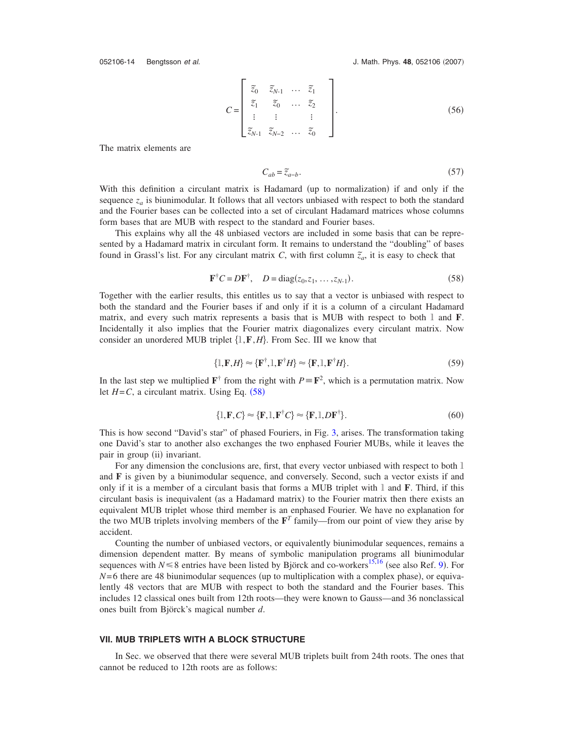$$
C = \begin{bmatrix} \overline{z}_0 & \overline{z}_{N-1} & \dots & \overline{z}_1 \\ \overline{z}_1 & \overline{z}_0 & \dots & \overline{z}_2 \\ \vdots & \vdots & & \vdots \\ \overline{z}_{N-1} & \overline{z}_{N-2} & \dots & \overline{z}_0 \end{bmatrix} .
$$
 (56)

The matrix elements are

$$
C_{ab} = \tilde{z}_{a-b}.\tag{57}
$$

With this definition a circulant matrix is Hadamard (up to normalization) if and only if the sequence  $z_a$  is biunimodular. It follows that all vectors unbiased with respect to both the standard and the Fourier bases can be collected into a set of circulant Hadamard matrices whose columns form bases that are MUB with respect to the standard and Fourier bases.

This explains why all the 48 unbiased vectors are included in some basis that can be represented by a Hadamard matrix in circulant form. It remains to understand the "doubling" of bases found in Grassl's list. For any circulant matrix *C*, with first column  $\tilde{z}_a$ , it is easy to check that

$$
\mathbf{F}^{\dagger} C = D \mathbf{F}^{\dagger}, \quad D = \text{diag}(z_0, z_1, \dots, z_{N-1}).
$$
 (58)

<span id="page-13-0"></span>Together with the earlier results, this entitles us to say that a vector is unbiased with respect to both the standard and the Fourier bases if and only if it is a column of a circulant Hadamard matrix, and every such matrix represents a basis that is MUB with respect to both 1 and **F**. Incidentally it also implies that the Fourier matrix diagonalizes every circulant matrix. Now consider an unordered MUB triplet  $\{1, F, H\}$ . From Sec. III we know that

$$
\{I, \mathbf{F}, H\} \approx \{\mathbf{F}^{\dagger}, I, \mathbf{F}^{\dagger} H\} \approx \{\mathbf{F}, I, \mathbf{F}^{\dagger} H\}.
$$
\n(59)

In the last step we multiplied  $\mathbf{F}^{\dagger}$  from the right with  $P = \mathbf{F}^2$ , which is a permutation matrix. Now let  $H = C$ , a circulant matrix. Using Eq.  $(58)$  $(58)$  $(58)$ 

$$
\{l, \mathbf{F}, C\} \approx \{\mathbf{F}, l, \mathbf{F}^{\dagger} C\} \approx \{\mathbf{F}, l, D\mathbf{F}^{\dagger}\}.
$$
\n(60)

This is how second "David's star" of phased Fouriers, in Fig. [3,](#page-12-0) arises. The transformation taking one David's star to another also exchanges the two enphased Fourier MUBs, while it leaves the pair in group (ii) invariant.

For any dimension the conclusions are, first, that every vector unbiased with respect to both 1 and **F** is given by a biunimodular sequence, and conversely. Second, such a vector exists if and only if it is a member of a circulant basis that forms a MUB triplet with 1 and **F**. Third, if this circulant basis is inequivalent (as a Hadamard matrix) to the Fourier matrix then there exists an equivalent MUB triplet whose third member is an enphased Fourier. We have no explanation for the two MUB triplets involving members of the  $\mathbf{F}^T$  family—from our point of view they arise by accident.

Counting the number of unbiased vectors, or equivalently biunimodular sequences, remains a dimension dependent matter. By means of symbolic manipulation programs all biunimodular sequences with  $N \le 8$  entries have been listed by Björck and co-workers<sup>15[,16](#page-20-5)</sup> (see also Ref. [9](#page-19-8)). For  $N=6$  there are 48 biunimodular sequences (up to multiplication with a complex phase), or equivalently 48 vectors that are MUB with respect to both the standard and the Fourier bases. This includes 12 classical ones built from 12th roots—they were known to Gauss—and 36 nonclassical ones built from Björck's magical number *d*.

#### **VII. MUB TRIPLETS WITH A BLOCK STRUCTURE**

In Sec. we observed that there were several MUB triplets built from 24th roots. The ones that cannot be reduced to 12th roots are as follows: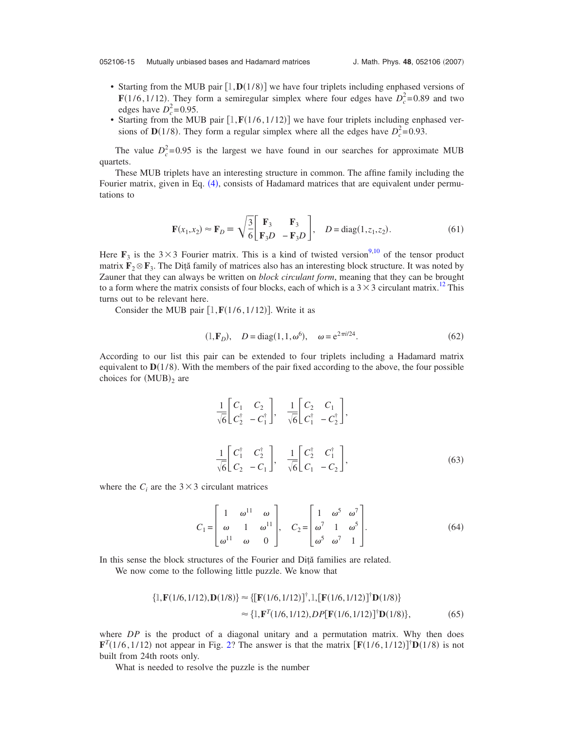- Starting from the MUB pair  $[1, D(1/8)]$  we have four triplets including enphased versions of **F**(1/6, 1/12). They form a semiregular simplex where four edges have  $D_c^2 = 0.89$  and two edges have  $D_c^2$ =0.95.
- Starting from the MUB pair  $[1, \mathbf{F}(1/6, 1/12)]$  we have four triplets including enphased versions of **D**(1/8). They form a regular simplex where all the edges have  $D_c^2 = 0.93$ .

The value  $D_c^2 = 0.95$  is the largest we have found in our searches for approximate MUB quartets.

These MUB triplets have an interesting structure in common. The affine family including the Fourier matrix, given in Eq. ([4](#page-2-1)), consists of Hadamard matrices that are equivalent under permutations to

$$
\mathbf{F}(x_1, x_2) \approx \mathbf{F}_D \equiv \sqrt{\frac{3}{6}} \begin{bmatrix} \mathbf{F}_3 & \mathbf{F}_3 \\ \mathbf{F}_3 D & -\mathbf{F}_3 D \end{bmatrix}, \quad D = \text{diag}(1, z_1, z_2). \tag{61}
$$

<span id="page-14-0"></span>Here  $\mathbf{F}_3$  is the 3×3 Fourier matrix. This is a kind of twisted version<sup>9,[10](#page-20-0)</sup> of the tensor product matrix  $\mathbf{F}_2 \otimes \mathbf{F}_3$ . The Dita family of matrices also has an interesting block structure. It was noted by Zauner that they can always be written on *block circulant form*, meaning that they can be brought to a form where the matrix consists of four blocks, each of which is a  $3 \times 3$  circulant matrix.<sup>12</sup> This turns out to be relevant here.

Consider the MUB pair  $[1, \mathbf{F}(1/6, 1/12)]$ . Write it as

$$
(1, \mathbf{F}_D), \quad D = \text{diag}(1, 1, \omega^6), \quad \omega = e^{2\pi i/24}.
$$
 (62)

According to our list this pair can be extended to four triplets including a Hadamard matrix equivalent to  $D(1/8)$ . With the members of the pair fixed according to the above, the four possible choices for  $(MUB)_2$  are

$$
\frac{1}{\sqrt{6}} \begin{bmatrix} C_1 & C_2 \\ C_2^{\dagger} & -C_1^{\dagger} \end{bmatrix}, \quad \frac{1}{\sqrt{6}} \begin{bmatrix} C_2 & C_1 \\ C_1^{\dagger} & -C_2^{\dagger} \end{bmatrix},
$$
\n
$$
\frac{1}{\sqrt{6}} \begin{bmatrix} C_1^{\dagger} & C_2^{\dagger} \\ C_2 & -C_1 \end{bmatrix}, \quad \frac{1}{\sqrt{6}} \begin{bmatrix} C_2^{\dagger} & C_1^{\dagger} \\ C_1 & -C_2 \end{bmatrix},
$$
\n(63)

where the  $C_i$  are the  $3 \times 3$  circulant matrices

$$
C_1 = \begin{bmatrix} 1 & \omega^{11} & \omega \\ \omega & 1 & \omega^{11} \\ \omega^{11} & \omega & 0 \end{bmatrix}, \quad C_2 = \begin{bmatrix} 1 & \omega^5 & \omega^7 \\ \omega^7 & 1 & \omega^5 \\ \omega^5 & \omega^7 & 1 \end{bmatrix}.
$$
 (64)

In this sense the block structures of the Fourier and Diţă families are related.

We now come to the following little puzzle. We know that

$$
\{1, \mathbf{F}(1/6, 1/12), \mathbf{D}(1/8)\} \approx \{[\mathbf{F}(1/6, 1/12)]^{\dagger}, 1, [\mathbf{F}(1/6, 1/12)]^{\dagger} \mathbf{D}(1/8)\}\n\n\approx \{1, \mathbf{F}^{T}(1/6, 1/12), DP[\mathbf{F}(1/6, 1/12)]^{\dagger} \mathbf{D}(1/8)\},
$$
\n(65)

where *DP* is the product of a diagonal unitary and a permutation matrix. Why then does  $\mathbf{F}^T(1/6, 1/12)$  not appear in Fig. [2?](#page-10-0) The answer is that the matrix  $[\mathbf{F}(1/6, 1/12)]^{\dagger} \mathbf{D}(1/8)$  is not built from 24th roots only.

What is needed to resolve the puzzle is the number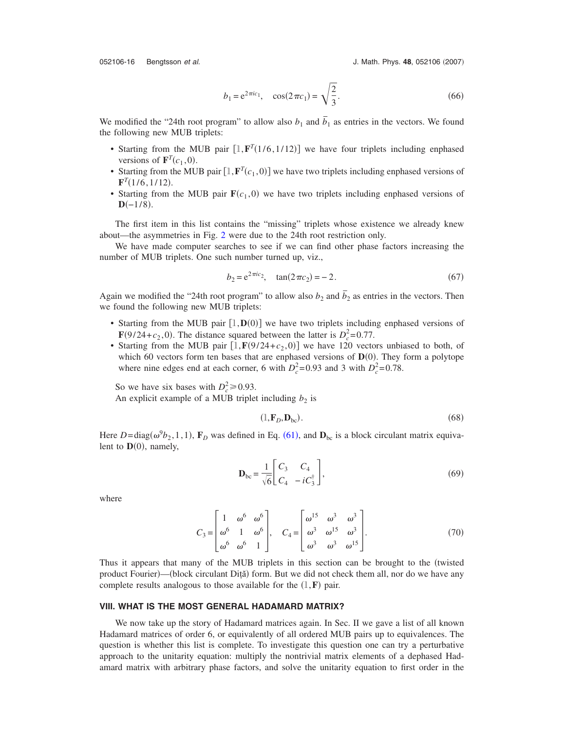052106-16 Bengtsson et al.

J. Math. Phys. 48, 052106 (2007)

$$
b_1 = e^{2\pi i c_1}, \quad \cos(2\pi c_1) = \sqrt{\frac{2}{3}}.
$$
 (66)

We modified the "24th root program" to allow also  $b_1$  and  $\overline{b}_1$  as entries in the vectors. We found the following new MUB triplets:

- Starting from the MUB pair  $[1, \mathbf{F}^T(1/6, 1/12)]$  we have four triplets including enphased versions of  $\mathbf{F}^T(c_1, 0)$ .
- Starting from the MUB pair  $[1, \mathbf{F}^T(c_1, 0)]$  we have two triplets including enphased versions of  $\mathbf{F}^T(1/6, 1/12).$
- Starting from the MUB pair  $\mathbf{F}(c_1, 0)$  we have two triplets including enphased versions of  $D(-1/8)$ .

The first item in this list contains the "missing" triplets whose existence we already knew about—the asymmetries in Fig. [2](#page-10-0) were due to the 24th root restriction only.

We have made computer searches to see if we can find other phase factors increasing the number of MUB triplets. One such number turned up, viz.,

$$
b_2 = e^{2\pi i c_2}, \quad \tan(2\pi c_2) = -2. \tag{67}
$$

Again we modified the "24th root program" to allow also  $b_2$  and  $\overline{b}_2$  as entries in the vectors. Then we found the following new MUB triplets:

- Starting from the MUB pair  $[1, D(0)]$  we have two triplets including enphased versions of  $\mathbf{F}(9/24 + c_2, 0)$ . The distance squared between the latter is  $D_c^2 = 0.77$ .
- Starting from the MUB pair  $[1, \mathbf{F}(9/24 + c_2, 0)]$  we have 120 vectors unbiased to both, of which 60 vectors form ten bases that are enphased versions of  $D(0)$ . They form a polytope where nine edges end at each corner, 6 with  $D_c^2 = 0.93$  and 3 with  $D_c^2 = 0.78$ .

So we have six bases with  $D_c^2 \ge 0.93$ .

An explicit example of a MUB triplet including  $b_2$  is

$$
(\mathbf{1}, \mathbf{F}_D, \mathbf{D}_{bc}). \tag{68}
$$

Here  $D = \text{diag}(\omega^0 b_2, 1, 1)$ ,  $\mathbf{F}_D$  was defined in Eq. ([61](#page-14-0)), and  $\mathbf{D}_{bc}$  is a block circulant matrix equivalent to  $\mathbf{D}(0)$ , namely,

$$
\mathbf{D}_{bc} = \frac{1}{\sqrt{6}} \begin{bmatrix} C_3 & C_4 \\ C_4 & -iC_3^{\dagger} \end{bmatrix},
$$
 (69)

where

$$
C_3 = \begin{bmatrix} 1 & \omega^6 & \omega^6 \\ \omega^6 & 1 & \omega^6 \\ \omega^6 & \omega^6 & 1 \end{bmatrix}, \quad C_4 = \begin{bmatrix} \omega^{15} & \omega^3 & \omega^3 \\ \omega^3 & \omega^{15} & \omega^3 \\ \omega^3 & \omega^3 & \omega^{15} \end{bmatrix}.
$$
 (70)

Thus it appears that many of the MUB triplets in this section can be brought to the (twisted product Fourier)—(block circulant Diță) form. But we did not check them all, nor do we have any complete results analogous to those available for the  $(1, F)$  pair.

# **VIII. WHAT IS THE MOST GENERAL HADAMARD MATRIX?**

We now take up the story of Hadamard matrices again. In Sec. II we gave a list of all known Hadamard matrices of order 6, or equivalently of all ordered MUB pairs up to equivalences. The question is whether this list is complete. To investigate this question one can try a perturbative approach to the unitarity equation: multiply the nontrivial matrix elements of a dephased Hadamard matrix with arbitrary phase factors, and solve the unitarity equation to first order in the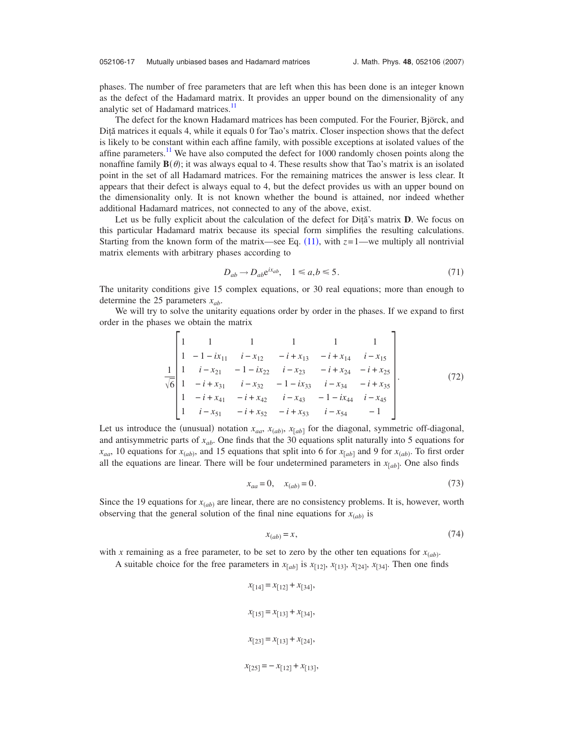phases. The number of free parameters that are left when this has been done is an integer known as the defect of the Hadamard matrix. It provides an upper bound on the dimensionality of any analytic set of Hadamard matrices.<sup>11</sup>

The defect for the known Hadamard matrices has been computed. For the Fourier, Björck, and Dită matrices it equals 4, while it equals 0 for Tao's matrix. Closer inspection shows that the defect is likely to be constant within each affine family, with possible exceptions at isolated values of the affine parameters.<sup>11</sup> We have also computed the defect for 1000 randomly chosen points along the nonaffine family  $\mathbf{B}(\theta)$ ; it was always equal to 4. These results show that Tao's matrix is an isolated point in the set of all Hadamard matrices. For the remaining matrices the answer is less clear. It appears that their defect is always equal to 4, but the defect provides us with an upper bound on the dimensionality only. It is not known whether the bound is attained, nor indeed whether additional Hadamard matrices, not connected to any of the above, exist.

Let us be fully explicit about the calculation of the defect for Dita's matrix **D**. We focus on this particular Hadamard matrix because its special form simplifies the resulting calculations. Starting from the known form of the matrix—see Eq.  $(11)$  $(11)$  $(11)$ , with  $z=1$ —we multiply all nontrivial matrix elements with arbitrary phases according to

$$
D_{ab} \to D_{ab} e^{ix_{ab}}, \quad 1 \le a, b \le 5. \tag{71}
$$

<span id="page-16-0"></span>The unitarity conditions give 15 complex equations, or 30 real equations; more than enough to determine the 25 parameters  $x_{ab}$ .

We will try to solve the unitarity equations order by order in the phases. If we expand to first order in the phases we obtain the matrix

$$
\frac{1}{\sqrt{6}}\begin{vmatrix} 1 & 1 & 1 & 1 & 1 \\ 1 & -1 - ix_{11} & i - x_{12} & -i + x_{13} & -i + x_{14} & i - x_{15} \\ 1 & i - x_{21} & -1 - ix_{22} & i - x_{23} & -i + x_{24} & -i + x_{25} \\ 1 & -i + x_{31} & i - x_{32} & -1 - ix_{33} & i - x_{34} & -i + x_{35} \\ 1 & -i + x_{41} & -i + x_{42} & i - x_{43} & -1 - ix_{44} & i - x_{45} \\ 1 & i - x_{51} & -i + x_{52} & -i + x_{53} & i - x_{54} & -1 \end{vmatrix}.
$$
(72)

Let us introduce the (unusual) notation  $x_{aa}$ ,  $x_{(ab)}$ ,  $x_{[ab]}$  for the diagonal, symmetric off-diagonal, and antisymmetric parts of *xab*. One finds that the 30 equations split naturally into 5 equations for  $x_{aa}$ , 10 equations for  $x_{(ab)}$ , and 15 equations that split into 6 for  $x_{[ab]}$  and 9 for  $x_{(ab)}$ . To first order all the equations are linear. There will be four undetermined parameters in  $x_{[ab]}$ . One also finds

$$
x_{aa} = 0, \quad x_{(ab)} = 0.
$$
 (73)

Since the 19 equations for  $x_{(ab)}$  are linear, there are no consistency problems. It is, however, worth observing that the general solution of the final nine equations for  $x_{(ab)}$  is

$$
x_{(ab)} = x,\tag{74}
$$

with *x* remaining as a free parameter, to be set to zero by the other ten equations for  $x_{(ab)}$ .

A suitable choice for the free parameters in  $x_{[ab]}$  is  $x_{[12]}$ ,  $x_{[13]}$ ,  $x_{[24]}$ ,  $x_{[34]}$ . Then one finds

 $x_{14} = x_{12} + x_{34}$  $x_{[15]} = x_{[13]} + x_{[34]},$  $x_{[23]} = x_{[13]} + x_{[24]},$  $x_{[25]} = -x_{[12]} + x_{[13]},$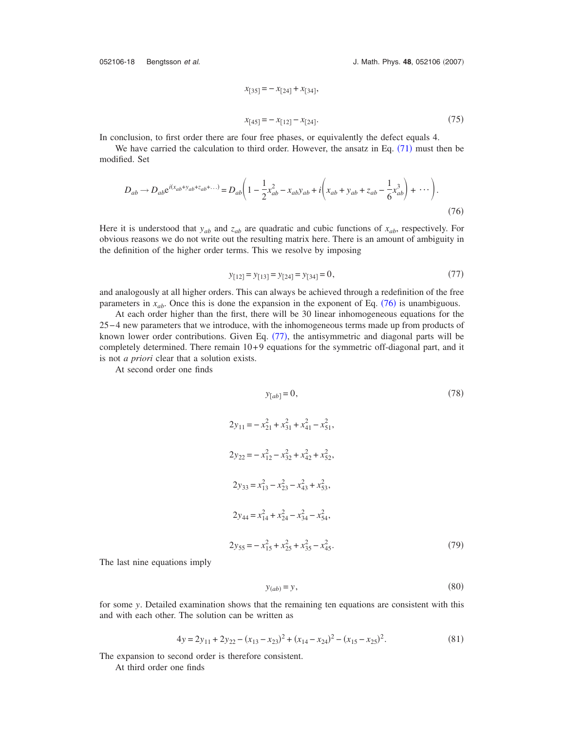052106-18 Bengtsson et al.

J. Math. Phys. 48, 052106 (2007)

$$
x_{[35]} = -x_{[24]} + x_{[34]},
$$
  

$$
x_{[45]} = -x_{[12]} - x_{[24]}.
$$
 (75)

In conclusion, to first order there are four free phases, or equivalently the defect equals 4.

<span id="page-17-0"></span>We have carried the calculation to third order. However, the ansatz in Eq.  $(71)$  $(71)$  $(71)$  must then be modified. Set

$$
D_{ab} \to D_{ab} e^{i(x_{ab} + y_{ab} + z_{ab} + \dots)} = D_{ab} \left( 1 - \frac{1}{2} x_{ab}^2 - x_{ab} y_{ab} + i \left( x_{ab} + y_{ab} + z_{ab} - \frac{1}{6} x_{ab}^3 \right) + \dots \right).
$$
\n(76)

Here it is understood that  $y_{ab}$  and  $z_{ab}$  are quadratic and cubic functions of  $x_{ab}$ , respectively. For obvious reasons we do not write out the resulting matrix here. There is an amount of ambiguity in the definition of the higher order terms. This we resolve by imposing

$$
y_{[12]} = y_{[13]} = y_{[24]} = y_{[34]} = 0,\t\t(77)
$$

<span id="page-17-1"></span>and analogously at all higher orders. This can always be achieved through a redefinition of the free parameters in  $x_{ab}$ . Once this is done the expansion in the exponent of Eq.  $(76)$  $(76)$  $(76)$  is unambiguous.

At each order higher than the first, there will be 30 linear inhomogeneous equations for the 25− 4 new parameters that we introduce, with the inhomogeneous terms made up from products of known lower order contributions. Given Eq. ([77](#page-17-1)), the antisymmetric and diagonal parts will be completely determined. There remain 10+ 9 equations for the symmetric off-diagonal part, and it is not *a priori* clear that a solution exists.

At second order one finds

$$
y_{[ab]} = 0,
$$
\n
$$
2y_{11} = -x_{21}^2 + x_{31}^2 + x_{41}^2 - x_{51}^2,
$$
\n
$$
2y_{22} = -x_{12}^2 - x_{32}^2 + x_{42}^2 + x_{52}^2,
$$
\n
$$
2y_{33} = x_{13}^2 - x_{23}^2 - x_{43}^2 + x_{53}^2,
$$
\n
$$
2y_{44} = x_{14}^2 + x_{24}^2 - x_{34}^2 - x_{54}^2,
$$
\n
$$
2y_{55} = -x_{15}^2 + x_{25}^2 + x_{35}^2 - x_{45}^2.
$$
\n(79)

The last nine equations imply

$$
y_{(ab)} = y,\tag{80}
$$

for some *y*. Detailed examination shows that the remaining ten equations are consistent with this and with each other. The solution can be written as

$$
4y = 2y_{11} + 2y_{22} - (x_{13} - x_{23})^2 + (x_{14} - x_{24})^2 - (x_{15} - x_{25})^2.
$$
\n(81)

The expansion to second order is therefore consistent.

At third order one finds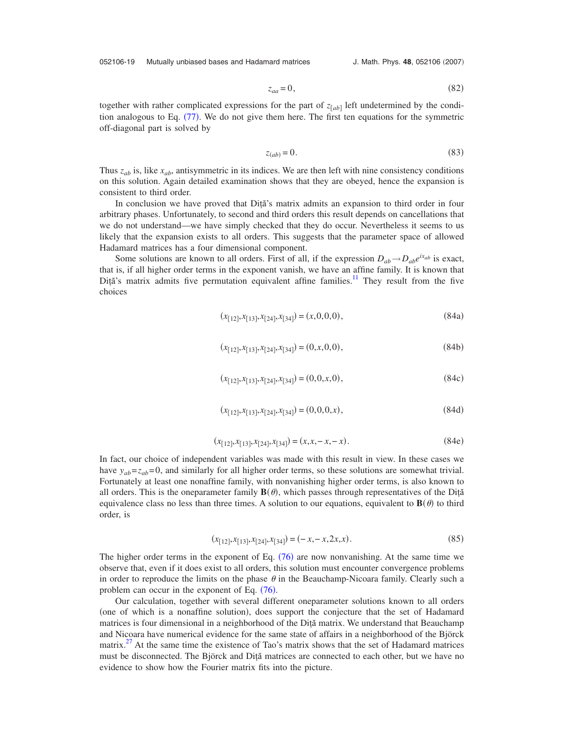052106-19 Mutually unbiased bases and Hadamard matrices

J. Math. Phys. 48, 052106 (2007)

$$
z_{aa} = 0,\t\t(82)
$$

together with rather complicated expressions for the part of  $z_{[ab]}$  left undetermined by the condi-tion analogous to Eq. ([77](#page-17-1)). We do not give them here. The first ten equations for the symmetric off-diagonal part is solved by

$$
z_{(ab)} = 0.\t\t(83)
$$

Thus *zab* is, like *xab*, antisymmetric in its indices. We are then left with nine consistency conditions on this solution. Again detailed examination shows that they are obeyed, hence the expansion is consistent to third order.

In conclusion we have proved that Diţă's matrix admits an expansion to third order in four arbitrary phases. Unfortunately, to second and third orders this result depends on cancellations that we do not understand—we have simply checked that they do occur. Nevertheless it seems to us likely that the expansion exists to all orders. This suggests that the parameter space of allowed Hadamard matrices has a four dimensional component.

Some solutions are known to all orders. First of all, if the expression  $D_{ab} \rightarrow D_{ab}e^{ix_{ab}}$  is exact, that is, if all higher order terms in the exponent vanish, we have an affine family. It is known that Diță's matrix admits five permutation equivalent affine families.<sup>11</sup> They result from the five choices

$$
(x_{[12]}, x_{[13]}, x_{[24]}, x_{[34]}) = (x, 0, 0, 0),
$$
\n(84a)

$$
(x_{[12]}, x_{[13]}, x_{[24]}, x_{[34]}) = (0, x, 0, 0),
$$
\n(84b)

$$
(x_{[12]}, x_{[13]}, x_{[24]}, x_{[34]}) = (0, 0, x, 0),
$$
\n(84c)

$$
(x_{[12]}, x_{[13]}, x_{[24]}, x_{[34]}) = (0, 0, 0, x),
$$
\n(84d)

$$
(x_{[12]}, x_{[13]}, x_{[24]}, x_{[34]}) = (x, x, -x, -x). \tag{84e}
$$

In fact, our choice of independent variables was made with this result in view. In these cases we have  $y_{ab} = z_{ab} = 0$ , and similarly for all higher order terms, so these solutions are somewhat trivial. Fortunately at least one nonaffine family, with nonvanishing higher order terms, is also known to all orders. This is the oneparameter family  $\mathbf{B}(\theta)$ , which passes through representatives of the Dita equivalence class no less than three times. A solution to our equations, equivalent to  $\mathbf{B}(\theta)$  to third order, is

$$
(x_{[12]}, x_{[13]}, x_{[24]}, x_{[34]}) = (-x, -x, 2x, x).
$$
\n(85)

The higher order terms in the exponent of Eq.  $(76)$  $(76)$  $(76)$  are now nonvanishing. At the same time we observe that, even if it does exist to all orders, this solution must encounter convergence problems in order to reproduce the limits on the phase  $\theta$  in the Beauchamp-Nicoara family. Clearly such a problem can occur in the exponent of Eq.  $(76)$  $(76)$  $(76)$ .

Our calculation, together with several different oneparameter solutions known to all orders (one of which is a nonaffine solution), does support the conjecture that the set of Hadamard matrices is four dimensional in a neighborhood of the Diţă matrix. We understand that Beauchamp and Nicoara have numerical evidence for the same state of affairs in a neighborhood of the Björck matrix.<sup>27</sup> At the same time the existence of Tao's matrix shows that the set of Hadamard matrices must be disconnected. The Björck and Diță matrices are connected to each other, but we have no evidence to show how the Fourier matrix fits into the picture.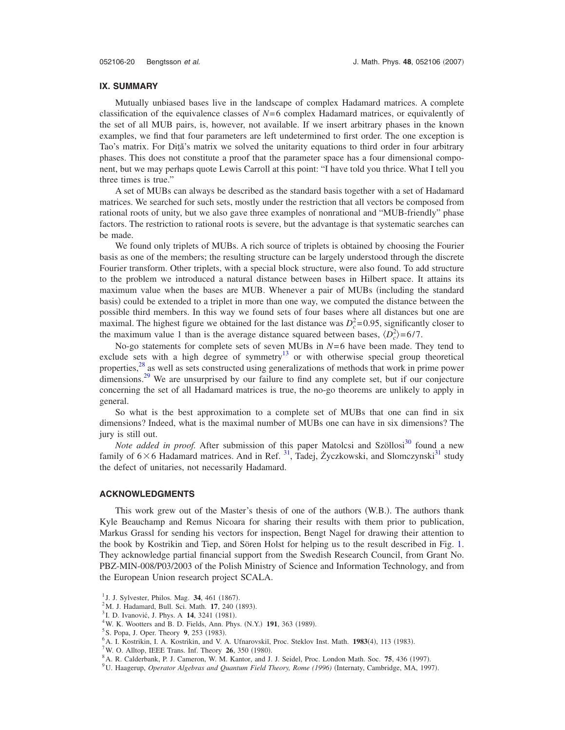### **IX. SUMMARY**

Mutually unbiased bases live in the landscape of complex Hadamard matrices. A complete classification of the equivalence classes of *N*= 6 complex Hadamard matrices, or equivalently of the set of all MUB pairs, is, however, not available. If we insert arbitrary phases in the known examples, we find that four parameters are left undetermined to first order. The one exception is Tao's matrix. For Diţă's matrix we solved the unitarity equations to third order in four arbitrary phases. This does not constitute a proof that the parameter space has a four dimensional component, but we may perhaps quote Lewis Carroll at this point: "I have told you thrice. What I tell you three times is true."

A set of MUBs can always be described as the standard basis together with a set of Hadamard matrices. We searched for such sets, mostly under the restriction that all vectors be composed from rational roots of unity, but we also gave three examples of nonrational and "MUB-friendly" phase factors. The restriction to rational roots is severe, but the advantage is that systematic searches can be made.

We found only triplets of MUBs. A rich source of triplets is obtained by choosing the Fourier basis as one of the members; the resulting structure can be largely understood through the discrete Fourier transform. Other triplets, with a special block structure, were also found. To add structure to the problem we introduced a natural distance between bases in Hilbert space. It attains its maximum value when the bases are MUB. Whenever a pair of MUBs (including the standard basis) could be extended to a triplet in more than one way, we computed the distance between the possible third members. In this way we found sets of four bases where all distances but one are maximal. The highest figure we obtained for the last distance was  $D_c^2 = 0.95$ , significantly closer to the maximum value 1 than is the average distance squared between bases,  $\langle D_c^2 \rangle = 6/7$ .

No-go statements for complete sets of seven MUBs in  $N=6$  have been made. They tend to exclude sets with a high degree of symmetry<sup>13</sup> or with otherwise special group theoretical properties,<sup>28</sup> as well as sets constructed using generalizations of methods that work in prime power dimensions.<sup>29</sup> We are unsurprised by our failure to find any complete set, but if our conjecture concerning the set of all Hadamard matrices is true, the no-go theorems are unlikely to apply in general.

So what is the best approximation to a complete set of MUBs that one can find in six dimensions? Indeed, what is the maximal number of MUBs one can have in six dimensions? The jury is still out.

*Note added in proof.* After submission of this paper Matolcsi and Szöllosi<sup>30</sup> found a new family of  $6 \times 6$  Hadamard matrices. And in Ref. <sup>31</sup>, Tadej, Życzkowski, and Slomczynski<sup>31</sup> study the defect of unitaries, not necessarily Hadamard.

### **ACKNOWLEDGMENTS**

This work grew out of the Master's thesis of one of the authors (W.B.). The authors thank Kyle Beauchamp and Remus Nicoara for sharing their results with them prior to publication, Markus Grassl for sending his vectors for inspection, Bengt Nagel for drawing their attention to the book by Kostrikin and Tiep, and Sören Holst for helping us to the result described in Fig. [1.](#page-3-0) They acknowledge partial financial support from the Swedish Research Council, from Grant No. PBZ-MIN-008/P03/2003 of the Polish Ministry of Science and Information Technology, and from the European Union research project SCALA.

<span id="page-19-0"></span><sup>&</sup>lt;sup>1</sup> J. J. Sylvester, Philos. Mag. **34**, 461 (1867).

<span id="page-19-2"></span><span id="page-19-1"></span><sup>&</sup>lt;sup>2</sup>M. J. Hadamard, Bull. Sci. Math. **17**, 240 (1893).

<sup>&</sup>lt;sup>3</sup>I. D. Ivanović, J. Phys. A **14**, 3241 (1981).

<span id="page-19-3"></span><sup>&</sup>lt;sup>4</sup> W. K. Wootters and B. D. Fields, Ann. Phys. (N.Y.) **191**, 363 (1989).

<span id="page-19-4"></span><sup>&</sup>lt;sup>S</sup>S. Popa, J. Oper. Theory **9**, 253 (1983).

<span id="page-19-5"></span><sup>&</sup>lt;sup>6</sup> A. I. Kostrikin, I. A. Kostrikin, and V. A. Ufnarovskii, Proc. Steklov Inst. Math. **1983**(4), 113 (1983).<br><sup>7</sup> W. O. Allton, JEEE Trans, Jpf. Theory, **26**, 250 (1080).

<span id="page-19-6"></span>W. O. Alltop, IEEE Trans. Inf. Theory **26**, 350 (1980).

<span id="page-19-7"></span><sup>&</sup>lt;sup>8</sup> A. R. Calderbank, P. J. Cameron, W. M. Kantor, and J. J. Seidel, Proc. London Math. Soc. **75**, 436 (1997).<br><sup>9</sup> U. Honcogun, *Onardon Algebras and Quantum Eight Theory, Bome (1996)* (Internaty Combridge, MA, 199

<span id="page-19-8"></span>U. Haagerup, Operator Algebras and Quantum Field Theory, Rome (1996) (Internaty, Cambridge, MA, 1997).